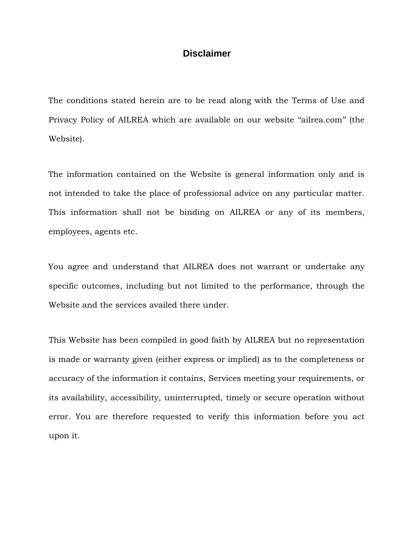## **Disclaimer**

The conditions stated herein are to be read along with the Terms of Use and Privacy Policy of AILREA which are available on our website ''ailrea.com'' (the Website).

The information contained on the Website is general information only and is not intended to take the place of professional advice on any particular matter. This information shall not be binding on AILREA or any of its members, employees, agents etc.

You agree and understand that AILREA does not warrant or undertake any specific outcomes, including but not limited to the performance, through the Website and the services availed there under.

This Website has been compiled in good faith by AILREA but no representation is made or warranty given (either express or implied) as to the completeness or accuracy of the information it contains, Services meeting your requirements, or its availability, accessibility, uninterrupted, timely or secure operation without error. You are therefore requested to verify this information before you act upon it.